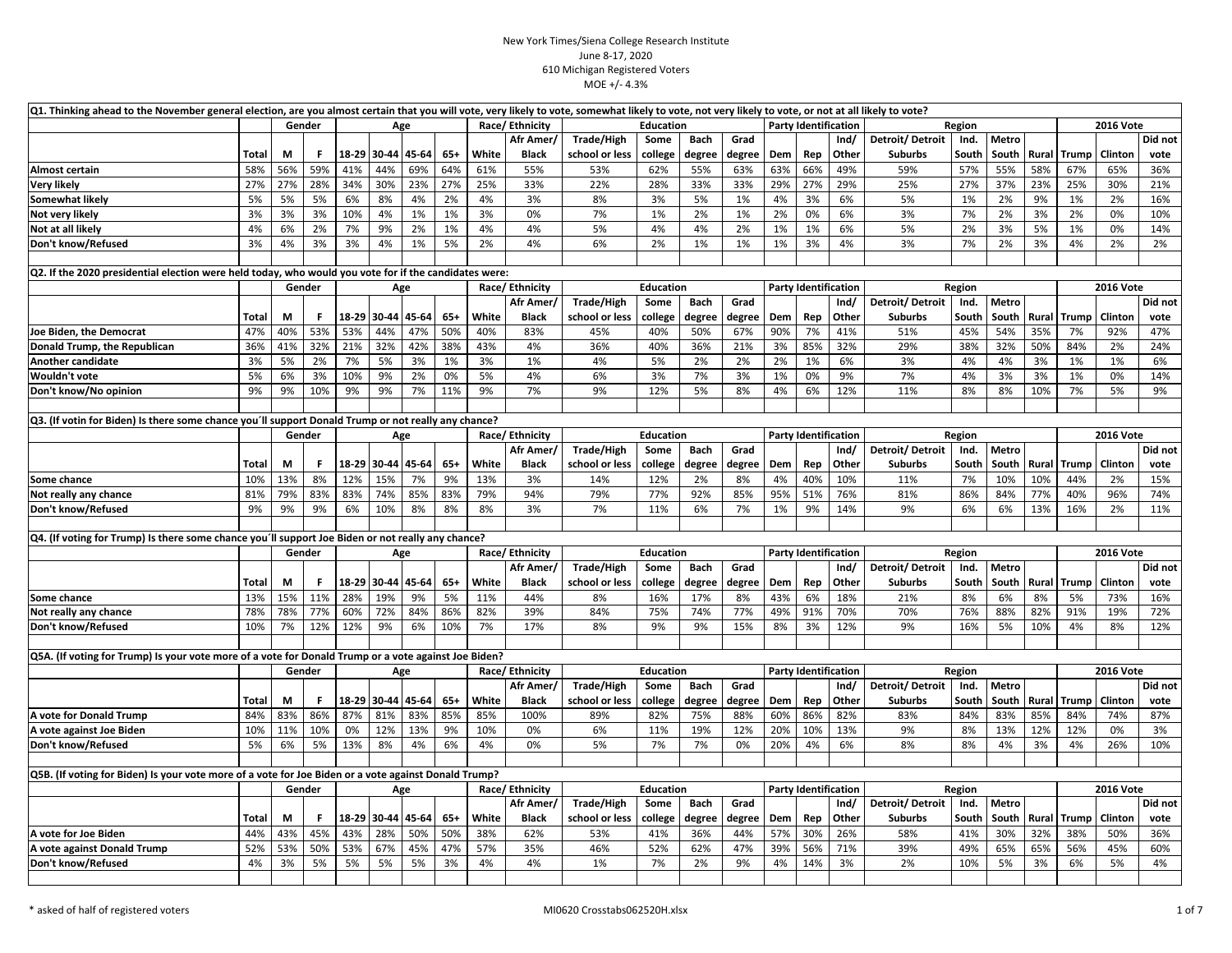| Q1. Thinking ahead to the November general election, are you almost certain that you will vote, very likely to vote, somewhat likely to vote, not very likely to vote, or not at all likely to vote? |              |          |        |     |                   |       |       |       |                             |                              |                   |               |              |            |                             |       |                 |                |       |             |              |                  |         |
|------------------------------------------------------------------------------------------------------------------------------------------------------------------------------------------------------|--------------|----------|--------|-----|-------------------|-------|-------|-------|-----------------------------|------------------------------|-------------------|---------------|--------------|------------|-----------------------------|-------|-----------------|----------------|-------|-------------|--------------|------------------|---------|
|                                                                                                                                                                                                      |              |          | Gender |     |                   | Age   |       |       | Race/Ethnicity              |                              | Education         |               |              |            | <b>Party Identification</b> |       |                 | Region         |       |             |              | <b>2016 Vote</b> |         |
|                                                                                                                                                                                                      |              |          |        |     |                   |       |       |       | Afr Amer/                   | Trade/High                   | Some              | Bach          | Grad         |            |                             | Ind/  | Detroit/Detroit | Ind.           | Metro |             |              |                  | Did not |
|                                                                                                                                                                                                      | Total        | М        | F      |     | 18-29 30-44 45-64 |       | $65+$ | White | <b>Black</b>                | school or less               | college           | degree        | degree       | Dem        | Rep                         | Other | <b>Suburbs</b>  | South          | South | Rural       | <b>Trump</b> | Clinton          | vote    |
| Almost certain                                                                                                                                                                                       | 58%          | 56%      | 59%    | 41% | 44%               | 69%   | 64%   | 61%   | 55%                         | 53%                          | 62%               | 55%           | 63%          | 63%        | 66%                         | 49%   | 59%             | 57%            | 55%   | 58%         | 67%          | 65%              | 36%     |
| <b>Very likely</b>                                                                                                                                                                                   | 27%          | 27%      | 28%    | 34% | 30%               | 23%   | 27%   | 25%   | 33%                         | 22%                          | 28%               | 33%           | 33%          | 29%        | 27%                         | 29%   | 25%             | 27%            | 37%   | 23%         | 25%          | 30%              | 21%     |
| <b>Somewhat likely</b>                                                                                                                                                                               | 5%           | 5%       | 5%     | 6%  | 8%                | 4%    | 2%    | 4%    | 3%                          | 8%                           | 3%                | 5%            | 1%           | 4%         | 3%                          | 6%    | 5%              | 1%             | 2%    | 9%          | 1%           | 2%               | 16%     |
| Not very likely                                                                                                                                                                                      | 3%           | 3%       | 3%     | 10% | 4%                | 1%    | 1%    | 3%    | 0%                          | 7%                           | 1%                | 2%            | 1%           | 2%         | 0%                          | 6%    | 3%              | 7%             | 2%    | 3%          | 2%           | 0%               | 10%     |
| Not at all likely                                                                                                                                                                                    | 4%           | 6%       | 2%     | 7%  | 9%                | 2%    | 1%    | 4%    | 4%                          | 5%                           | 4%                | 4%            | 2%           | 1%         | 1%                          | 6%    | 5%              | 2%             | 3%    | 5%          | 1%           | 0%               | 14%     |
| Don't know/Refused                                                                                                                                                                                   | 3%           | 4%       | 3%     | 3%  | 4%                | 1%    | 5%    | 2%    | 4%                          | 6%                           | 2%                | 1%            | 1%           | 1%         | 3%                          | 4%    | 3%              | 7%             | 2%    | 3%          | 4%           | 2%               | 2%      |
|                                                                                                                                                                                                      |              |          |        |     |                   |       |       |       |                             |                              |                   |               |              |            |                             |       |                 |                |       |             |              |                  |         |
| Q2. If the 2020 presidential election were held today, who would you vote for if the candidates were:                                                                                                |              |          |        |     |                   |       |       |       |                             |                              |                   |               |              |            |                             |       |                 |                |       |             |              |                  |         |
|                                                                                                                                                                                                      |              |          | Gender |     |                   | Age   |       |       | Race/Ethnicity              |                              | Education         |               |              |            | <b>Party Identification</b> |       |                 | Region         |       |             |              | <b>2016 Vote</b> |         |
|                                                                                                                                                                                                      |              |          |        |     |                   |       |       |       | Afr Amer                    | <b>Trade/High</b>            | Some              | <b>Bach</b>   | Grad         |            |                             | Ind/  | Detroit/Detroit | Ind.           | Metro |             |              |                  | Did not |
|                                                                                                                                                                                                      | Total        | М        | F.     |     | 18-29 30-44       | 45-64 | $65+$ | White | <b>Black</b>                | school or less               | college           | degree        | degree       | Dem        | Rep                         | Other | <b>Suburbs</b>  | South          | South | Rural       | Trump        | Clinton          | vote    |
| Joe Biden, the Democrat                                                                                                                                                                              | 47%          | 40%      | 53%    | 53% | 44%               | 47%   | 50%   | 40%   | 83%                         | 45%                          | 40%               | 50%           | 67%          | 90%        | 7%                          | 41%   | 51%             | 45%            | 54%   | 35%         | 7%           | 92%              | 47%     |
| Donald Trump, the Republican                                                                                                                                                                         | 36%          | 41%      | 32%    | 21% | 32%               | 42%   | 38%   | 43%   | 4%                          | 36%                          | 40%               | 36%           | 21%          | 3%         | 85%                         | 32%   | 29%             | 38%            | 32%   | 50%         | 84%          | 2%               | 24%     |
| Another candidate                                                                                                                                                                                    | 3%           | 5%       | 2%     | 7%  | 5%                | 3%    | 1%    | 3%    | 1%                          | 4%                           | 5%                | 2%            | 2%           | 2%         | 1%                          | 6%    | 3%              | 4%             | 4%    | 3%          | 1%           | 1%               | 6%      |
| Wouldn't vote                                                                                                                                                                                        | 5%           | 6%       | 3%     | 10% | 9%                | 2%    | 0%    | 5%    | 4%                          | 6%                           | 3%                | 7%            | 3%           | 1%         | 0%                          | 9%    | 7%              | 4%             | 3%    | 3%          | 1%           | 0%               | 14%     |
| Don't know/No opinion                                                                                                                                                                                | 9%           | 9%       | 10%    | 9%  | 9%                | 7%    | 11%   | 9%    | 7%                          | 9%                           | 12%               | 5%            | 8%           | 4%         | 6%                          | 12%   | 11%             | 8%             | 8%    | 10%         | 7%           | 5%               | 9%      |
|                                                                                                                                                                                                      |              |          |        |     |                   |       |       |       |                             |                              |                   |               |              |            |                             |       |                 |                |       |             |              |                  |         |
| Q3. (If votin for Biden) Is there some chance you'll support Donald Trump or not really any chance?                                                                                                  |              |          |        |     |                   |       |       |       |                             |                              |                   |               |              |            |                             |       |                 |                |       |             |              |                  |         |
|                                                                                                                                                                                                      |              |          | Gender |     |                   | Age   |       |       | Race/Ethnicity              |                              | Education         |               |              |            | <b>Party Identification</b> |       |                 | Region         |       |             |              | <b>2016 Vote</b> |         |
|                                                                                                                                                                                                      |              |          |        |     |                   |       |       |       | Afr Amer                    | Trade/High                   | Some              | <b>Bach</b>   | Grad         |            |                             | Ind/  | Detroit/Detroit | Ind.           | Metro |             |              |                  | Did not |
|                                                                                                                                                                                                      | <b>Total</b> | М        | F      |     | 18-29 30-44 45-64 |       | $65+$ | White | <b>Black</b>                | school or less               | college           | degree        | degree       | Dem        | Rep                         | Other | <b>Suburbs</b>  | South          | South | Rural       | <b>Trump</b> | Clinton          | vote    |
| Some chance                                                                                                                                                                                          | 10%          | 13%      | 8%     | 12% | 15%               | 7%    | 9%    | 13%   | 3%                          | 14%                          | 12%               | 2%            | 8%           | 4%         | 40%                         | 10%   | 11%             | 7%             | 10%   | 10%         | 44%          | 2%               | 15%     |
| Not really any chance                                                                                                                                                                                | 81%          | 79%      | 83%    | 83% | 74%               | 85%   | 83%   | 79%   | 94%                         | 79%                          | 77%               | 92%           | 85%          | 95%        | 51%                         | 76%   | 81%             | 86%            | 84%   | 77%         | 40%          | 96%              | 74%     |
| Don't know/Refused                                                                                                                                                                                   | 9%           | 9%       | 9%     | 6%  | 10%               | 8%    | 8%    | 8%    | 3%                          | 7%                           | 11%               | 6%            | 7%           | 1%         | 9%                          | 14%   | 9%              | 6%             | 6%    | 13%         | 16%          | 2%               | 11%     |
|                                                                                                                                                                                                      |              |          |        |     |                   |       |       |       |                             |                              |                   |               |              |            |                             |       |                 |                |       |             |              |                  |         |
| Q4. (If voting for Trump) Is there some chance you'll support Joe Biden or not really any chance?                                                                                                    |              |          |        |     |                   |       |       |       |                             |                              |                   |               |              |            |                             |       |                 |                |       |             |              |                  |         |
|                                                                                                                                                                                                      |              |          | Gender |     |                   | Age   |       |       | Race/ Ethnicity<br>Afr Amer |                              | Education<br>Some | <b>Bach</b>   | Grad         |            | <b>Party Identification</b> | Ind/  | Detroit/Detroit | Region<br>Ind. | Metro |             |              | <b>2016 Vote</b> | Did not |
|                                                                                                                                                                                                      | Total        |          | F      |     | 18-29 30-44 45-64 |       | $65+$ | White | <b>Black</b>                | Trade/High<br>school or less |                   |               |              |            | Rep                         | Other | <b>Suburbs</b>  | South          | South |             | Trump        | Clinton          | vote    |
| Some chance                                                                                                                                                                                          | 13%          | М<br>15% | 11%    | 28% | 19%               | 9%    | 5%    | 11%   | 44%                         | 8%                           | college<br>16%    | degree<br>17% | degree<br>8% | Dem<br>43% | 6%                          | 18%   | 21%             | 8%             | 6%    | Rural<br>8% | 5%           | 73%              | 16%     |
| Not really any chance                                                                                                                                                                                | 78%          | 78%      | 77%    | 60% | 72%               | 84%   | 86%   | 82%   | 39%                         | 84%                          | 75%               | 74%           | 77%          | 49%        | 91%                         | 70%   | 70%             | 76%            | 88%   | 82%         | 91%          | 19%              | 72%     |
| Don't know/Refused                                                                                                                                                                                   | 10%          | 7%       | 12%    | 12% | 9%                | 6%    | 10%   | 7%    | 17%                         | 8%                           | 9%                | 9%            | 15%          | 8%         | 3%                          | 12%   | 9%              | 16%            | 5%    | 10%         | 4%           | 8%               | 12%     |
|                                                                                                                                                                                                      |              |          |        |     |                   |       |       |       |                             |                              |                   |               |              |            |                             |       |                 |                |       |             |              |                  |         |
| Q5A. (If voting for Trump) Is your vote more of a vote for Donald Trump or a vote against Joe Biden?                                                                                                 |              |          |        |     |                   |       |       |       |                             |                              |                   |               |              |            |                             |       |                 |                |       |             |              |                  |         |
|                                                                                                                                                                                                      |              |          | Gender |     |                   | Age   |       |       | Race/Ethnicity              |                              | Education         |               |              |            | <b>Party Identification</b> |       |                 | Region         |       |             |              | <b>2016 Vote</b> |         |
|                                                                                                                                                                                                      |              |          |        |     |                   |       |       |       | Afr Amer,                   | Trade/High                   | Some              | <b>Bach</b>   | Grad         |            |                             | Ind/  | Detroit/Detroit | Ind.           | Metro |             |              |                  | Did not |
|                                                                                                                                                                                                      | <b>Total</b> | М        | F.     |     | 18-29 30-44       | 45-64 | $65+$ | White | <b>Black</b>                | school or less               | college           | degree        | degree       | Dem        | Rep                         | Other | <b>Suburbs</b>  | South          | South | Rural       | Trump        | Clinton          | vote    |
| A vote for Donald Trump                                                                                                                                                                              | 84%          | 83%      | 86%    | 87% | 81%               | 83%   | 85%   | 85%   | 100%                        | 89%                          | 82%               | 75%           | 88%          | 60%        | 86%                         | 82%   | 83%             | 84%            | 83%   | 85%         | 84%          | 74%              | 87%     |
| A vote against Joe Biden                                                                                                                                                                             | 10%          | 11%      | 10%    | 0%  | 12%               | 13%   | 9%    | 10%   | 0%                          | 6%                           | 11%               | 19%           | 12%          | 20%        | 10%                         | 13%   | 9%              | 8%             | 13%   | 12%         | 12%          | 0%               | 3%      |
| Don't know/Refused                                                                                                                                                                                   | 5%           | 6%       | 5%     | 13% | 8%                | 4%    | 6%    | 4%    | 0%                          | 5%                           | 7%                | 7%            | 0%           | 20%        | 4%                          | 6%    | 8%              | 8%             | 4%    | 3%          | 4%           | 26%              | 10%     |
|                                                                                                                                                                                                      |              |          |        |     |                   |       |       |       |                             |                              |                   |               |              |            |                             |       |                 |                |       |             |              |                  |         |
| Q5B. (If voting for Biden) Is your vote more of a vote for Joe Biden or a vote against Donald Trump?                                                                                                 |              |          |        |     |                   |       |       |       |                             |                              |                   |               |              |            |                             |       |                 |                |       |             |              |                  |         |
|                                                                                                                                                                                                      |              |          | Gender |     |                   | Age   |       |       | Race/Ethnicity              |                              | <b>Education</b>  |               |              |            | <b>Party Identification</b> |       |                 | Region         |       |             |              | <b>2016 Vote</b> |         |
|                                                                                                                                                                                                      |              |          |        |     |                   |       |       |       | Afr Amer                    | <b>Trade/High</b>            | Some              | Bach          | Grad         |            |                             | Ind/  | Detroit/Detroit | Ind.           | Metro |             |              |                  | Did not |
|                                                                                                                                                                                                      | Total        | М        | F      |     | 18-29 30-44 45-64 |       | $65+$ | White | <b>Black</b>                | school or less               | college           | degree        | degree       | Dem        | Rep                         | Other | <b>Suburbs</b>  | South          | South | Rural       | Trump        | Clinton          | vote    |
| A vote for Joe Biden                                                                                                                                                                                 | 44%          | 43%      | 45%    | 43% | 28%               | 50%   | 50%   | 38%   | 62%                         | 53%                          | 41%               | 36%           | 44%          | 57%        | 30%                         | 26%   | 58%             | 41%            | 30%   | 32%         | 38%          | 50%              | 36%     |
| A vote against Donald Trump                                                                                                                                                                          | 52%          | 53%      | 50%    | 53% | 67%               | 45%   | 47%   | 57%   | 35%                         | 46%                          | 52%               | 62%           | 47%          | 39%        | 56%                         | 71%   | 39%             | 49%            | 65%   | 65%         | 56%          | 45%              | 60%     |
| Don't know/Refused                                                                                                                                                                                   | 4%           | 3%       | 5%     | 5%  | 5%                | 5%    | 3%    | 4%    | 4%                          | 1%                           | 7%                | 2%            | 9%           | 4%         | 14%                         | 3%    | 2%              | 10%            | 5%    | 3%          | 6%           | 5%               | 4%      |
|                                                                                                                                                                                                      |              |          |        |     |                   |       |       |       |                             |                              |                   |               |              |            |                             |       |                 |                |       |             |              |                  |         |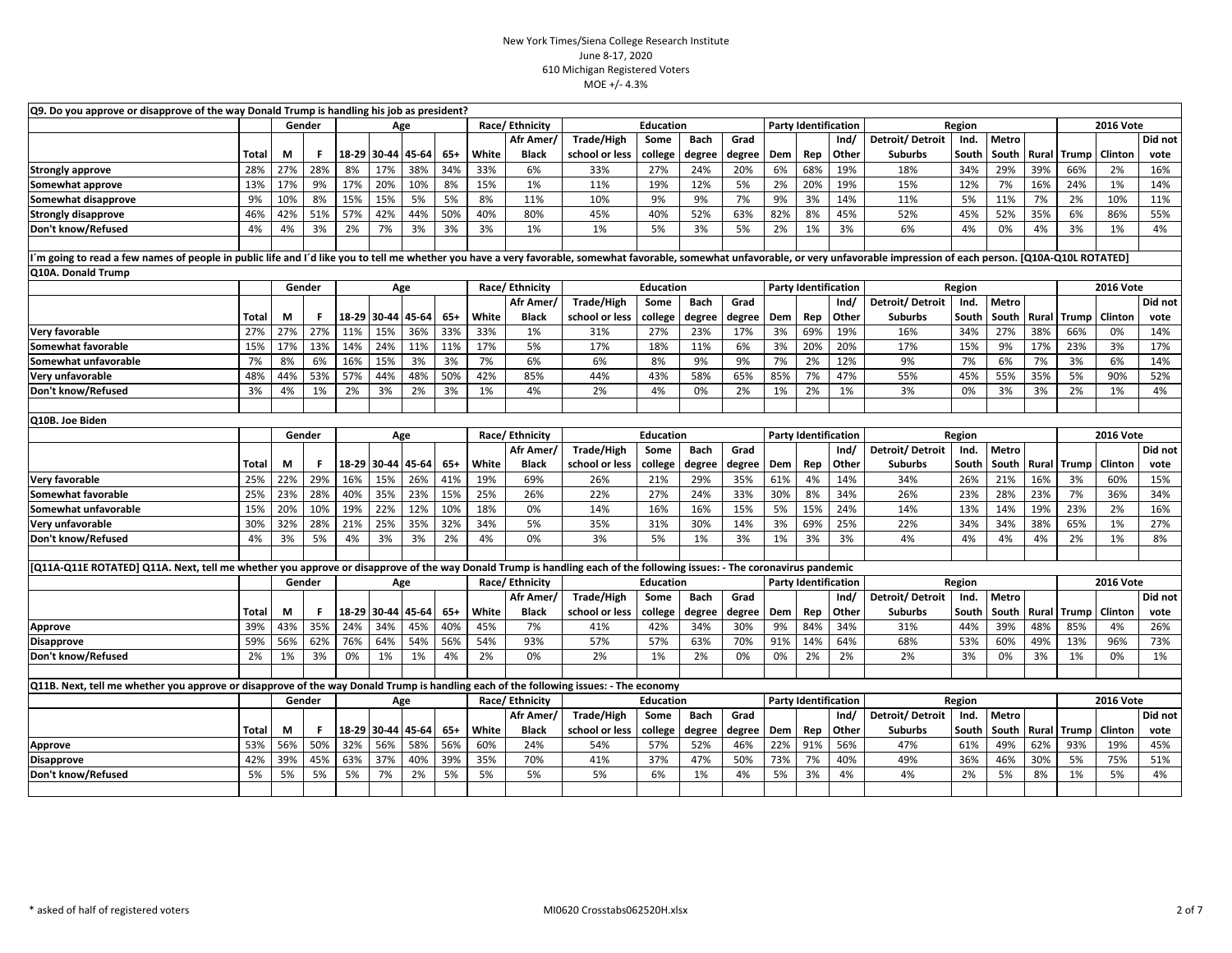| Q9. Do you approve or disapprove of the way Donald Trump is handling his job as president?                                                                                                                                     |              |        |           |       |                   |       |       |       |                 |                |                  |             |        |     |                             |       |                 |        |                |                  |                    |                  |         |
|--------------------------------------------------------------------------------------------------------------------------------------------------------------------------------------------------------------------------------|--------------|--------|-----------|-------|-------------------|-------|-------|-------|-----------------|----------------|------------------|-------------|--------|-----|-----------------------------|-------|-----------------|--------|----------------|------------------|--------------------|------------------|---------|
|                                                                                                                                                                                                                                |              | Gender |           |       | Age               |       |       |       | Race/Ethnicity  |                | <b>Education</b> |             |        |     | <b>Party Identification</b> |       |                 | Region |                |                  |                    | <b>2016 Vote</b> |         |
|                                                                                                                                                                                                                                |              |        |           |       |                   |       |       |       | Afr Amer        | Trade/High     | Some             | <b>Bach</b> | Grad   |     |                             | Ind/  | Detroit/Detroit | Ind.   | Metro          |                  |                    |                  | Did not |
|                                                                                                                                                                                                                                | <b>Total</b> | М      | F.        | 18-29 | 30-44             | 45-64 | $65+$ | White | <b>Black</b>    | school or less | college          | degree      | degree | Dem | Rep                         | Other | <b>Suburbs</b>  | South  | South          |                  | <b>Rural</b> Trump | Clinton          | vote    |
| <b>Strongly approve</b>                                                                                                                                                                                                        | 28%          | 27%    | 28%       | 8%    | 17%               | 38%   | 34%   | 33%   | 6%              | 33%            | 27%              | 24%         | 20%    | 6%  | 68%                         | 19%   | 18%             | 34%    | 29%            | 39%              | 66%                | 2%               | 16%     |
| Somewhat approve                                                                                                                                                                                                               | 13%          | 17%    | 9%        | 17%   | 20%               | 10%   | 8%    | 15%   | 1%              | 11%            | 19%              | 12%         | 5%     | 2%  | 20%                         | 19%   | 15%             | 12%    | 7%             | 16%              | 24%                | 1%               | 14%     |
| Somewhat disapprove                                                                                                                                                                                                            | 9%           | 10%    | 8%        | 15%   | 15%               | 5%    | 5%    | 8%    | 11%             | 10%            | 9%               | 9%          | 7%     | 9%  | 3%                          | 14%   | 11%             | 5%     | 11%            | 7%               | 2%                 | 10%              | 11%     |
| <b>Strongly disapprove</b>                                                                                                                                                                                                     | 46%          | 42%    | 51%       | 57%   | 42%               | 44%   | 50%   | 40%   | 80%             | 45%            | 40%              | 52%         | 63%    | 82% | 8%                          | 45%   | 52%             | 45%    | 52%            | 35%              | 6%                 | 86%              | 55%     |
| Don't know/Refused                                                                                                                                                                                                             | 4%           | 4%     | 3%        | 2%    | 7%                | 3%    | 3%    | 3%    | 1%              | 1%             | 5%               | 3%          | 5%     | 2%  | 1%                          | 3%    | 6%              | 4%     | 0%             | 4%               | 3%                 | 1%               | 4%      |
|                                                                                                                                                                                                                                |              |        |           |       |                   |       |       |       |                 |                |                  |             |        |     |                             |       |                 |        |                |                  |                    |                  |         |
| "m going to read a few names of people in public life and I'd like you to tell me whether you have a very favorable, somewhat favorable, somewhat unfavorable, or very unfavorable impression of each person. [Q10A-Q10L ROTAT |              |        |           |       |                   |       |       |       |                 |                |                  |             |        |     |                             |       |                 |        |                |                  |                    |                  |         |
| Q10A. Donald Trump                                                                                                                                                                                                             |              |        |           |       |                   |       |       |       |                 |                |                  |             |        |     |                             |       |                 |        |                |                  |                    |                  |         |
|                                                                                                                                                                                                                                |              | Gender |           |       | Age               |       |       |       | Race/ Ethnicity |                | <b>Education</b> |             |        |     | <b>Party Identification</b> |       |                 | Region |                |                  |                    | <b>2016 Vote</b> |         |
|                                                                                                                                                                                                                                |              |        |           |       |                   |       |       |       | Afr Amer        | Trade/High     | Some             | <b>Bach</b> | Grad   |     |                             | Ind/  | Detroit/Detroit | Ind.   | Metro          |                  |                    |                  | Did not |
|                                                                                                                                                                                                                                | <b>Total</b> | М      | -F.       | 18-29 | 30-44             | 45-64 | $65+$ | White | <b>Black</b>    | school or less | college          | degree      | degree | Dem | Rep                         | Other | <b>Suburbs</b>  | South  | South          | Rural            | <b>Trump</b>       | Clinton          | vote    |
| Very favorable                                                                                                                                                                                                                 | 27%          | 27%    | 27%       | 11%   | 15%               | 36%   | 33%   | 33%   | 1%              | 31%            | 27%              | 23%         | 17%    | 3%  | 69%                         | 19%   | 16%             | 34%    | 27%            | 38%              | 66%                | 0%               | 14%     |
| Somewhat favorable                                                                                                                                                                                                             | 15%          | 17%    | 13%       | 14%   | 24%               | 11%   | 11%   | 17%   | 5%              | 17%            | 18%              | 11%         | 6%     | 3%  | 20%                         | 20%   | 17%             | 15%    | 9%             | 17%              | 23%                | 3%               | 17%     |
| Somewhat unfavorable                                                                                                                                                                                                           | 7%           | 8%     | 6%        | 16%   | 15%               | 3%    | 3%    | 7%    | 6%              | 6%             | 8%               | 9%          | 9%     | 7%  | 2%                          | 12%   | 9%              | 7%     | 6%             | 7%               | 3%                 | 6%               | 14%     |
| Very unfavorable                                                                                                                                                                                                               | 48%          | 44%    | 53%       | 57%   | 44%               | 48%   | 50%   | 42%   | 85%             | 44%            | 43%              | 58%         | 65%    | 85% | 7%                          | 47%   | 55%             | 45%    | 55%            | 35%              | 5%                 | 90%              | 52%     |
| Don't know/Refused                                                                                                                                                                                                             | 3%           | 4%     | 1%        | 2%    | 3%                | 2%    | 3%    | 1%    | 4%              | 2%             | 4%               | 0%          | 2%     | 1%  | 2%                          | 1%    | 3%              | 0%     | 3%             | 3%               | 2%                 | 1%               | 4%      |
|                                                                                                                                                                                                                                |              |        |           |       |                   |       |       |       |                 |                |                  |             |        |     |                             |       |                 |        |                |                  |                    |                  |         |
| Q10B. Joe Biden                                                                                                                                                                                                                |              |        |           |       |                   |       |       |       |                 |                |                  |             |        |     |                             |       |                 |        |                |                  |                    |                  |         |
|                                                                                                                                                                                                                                |              |        | Gender    |       | Age               |       |       |       | Race/Ethnicity  |                | <b>Education</b> |             |        |     | <b>Party Identification</b> |       |                 | Region |                | <b>2016 Vote</b> |                    |                  |         |
|                                                                                                                                                                                                                                |              |        |           |       |                   |       |       |       | Afr Amer        | Trade/High     | Some             | <b>Bach</b> | Grad   |     |                             | Ind/  | Detroit/Detroit | Ind.   | Metro          |                  |                    |                  | Did not |
|                                                                                                                                                                                                                                | <b>Total</b> | M      | F.        |       | 18-29 30-44 45-64 |       | $65+$ | White | <b>Black</b>    | school or less | college          | degree      | degree | Dem | Rep                         | Other | <b>Suburbs</b>  | South  | South          |                  | <b>Rural Trump</b> | Clinton          | vote    |
| Very favorable                                                                                                                                                                                                                 | 25%          | 22%    | 29%       | 16%   | 15%               | 26%   | 41%   | 19%   | 69%             | 26%            | 21%              | 29%         | 35%    | 61% | 4%                          | 14%   | 34%             | 26%    | 21%            | 16%              | 3%                 | 60%              | 15%     |
| Somewhat favorable                                                                                                                                                                                                             | 25%          | 23%    | 28%       | 40%   | 35%               | 23%   | 15%   | 25%   | 26%             | 22%            | 27%              | 24%         | 33%    | 30% | 8%                          | 34%   | 26%             | 23%    | 28%            | 23%              | 7%                 | 36%              | 34%     |
| Somewhat unfavorable                                                                                                                                                                                                           | 15%          | 20%    | 10%       | 19%   | 22%               | 12%   | 10%   | 18%   | 0%              | 14%            | 16%              | 16%         | 15%    | 5%  | 15%                         | 24%   | 14%             | 13%    | 14%            | 19%              | 23%                | 2%               | 16%     |
| Very unfavorable                                                                                                                                                                                                               | 30%          | 32%    | 28%       | 21%   | 25%               | 35%   | 32%   | 34%   | 5%              | 35%            | 31%              | 30%         | 14%    | 3%  | 69%                         | 25%   | 22%             | 34%    | 34%            | 38%              | 65%                | 1%               | 27%     |
| Don't know/Refused                                                                                                                                                                                                             | 4%           | 3%     | 5%        | 4%    | 3%                | 3%    | 2%    | 4%    | 0%              | 3%             | 5%               | 1%          | 3%     | 1%  | 3%                          | 3%    | 4%              | 4%     | 4%             | 4%               | 2%                 | 1%               | 8%      |
|                                                                                                                                                                                                                                |              |        |           |       |                   |       |       |       |                 |                |                  |             |        |     |                             |       |                 |        |                |                  |                    |                  |         |
| [Q11A-Q11E ROTATED] Q11A. Next, tell me whether you approve or disapprove of the way Donald Trump is handling each of the following issues: - The coronavirus pandemic                                                         |              |        |           |       |                   |       |       |       |                 |                |                  |             |        |     |                             |       |                 |        |                |                  |                    |                  |         |
|                                                                                                                                                                                                                                |              |        | Gender    |       | Age               |       |       |       | Race/Ethnicity  |                | Education        |             |        |     | <b>Party Identification</b> |       |                 | Region |                |                  |                    | <b>2016 Vote</b> |         |
|                                                                                                                                                                                                                                |              |        |           |       |                   |       |       |       | Afr Amer        | Trade/High     | Some             | <b>Bach</b> | Grad   |     |                             | Ind/  | Detroit/Detroit | Ind.   | Metro          |                  |                    |                  | Did not |
|                                                                                                                                                                                                                                | Total        | М      | F.<br>35% | 24%   | 18-29 30-44 45-64 |       | 65+   | White | <b>Black</b>    | school or less | college          | degree      | degree | Dem | Rep                         | Other | <b>Suburbs</b>  | South  | South          | Rural            | Trump              | Clinton          | vote    |
| Approve                                                                                                                                                                                                                        | 39%          | 43%    |           |       | 34%               | 45%   | 40%   | 45%   | 7%              | 41%            | 42%              | 34%         | 30%    | 9%  | 84%                         | 34%   | 31%             | 44%    | 39%            | 48%              | 85%                | 4%               | 26%     |
| <b>Disapprove</b>                                                                                                                                                                                                              | 59%          | 56%    | 62%       | 76%   | 64%               | 54%   | 56%   | 54%   | 93%             | 57%            | 57%              | 63%         | 70%    | 91% | 14%                         | 64%   | 68%             | 53%    | 60%            | 49%              | 13%                | 96%              | 73%     |
| Don't know/Refused                                                                                                                                                                                                             | 2%           | 1%     | 3%        | 0%    | 1%                | 1%    | 4%    | 2%    | 0%              | 2%             | 1%               | 2%          | 0%     | 0%  | 2%                          | 2%    | 2%              | 3%     | 0%             | 3%               | 1%                 | 0%               | 1%      |
| Q11B. Next, tell me whether you approve or disapprove of the way Donald Trump is handling each of the following issues: - The economy                                                                                          |              |        |           |       |                   |       |       |       |                 |                |                  |             |        |     |                             |       |                 |        |                |                  |                    |                  |         |
|                                                                                                                                                                                                                                |              | Gender |           |       | Age               |       |       |       | Race/Ethnicity  |                | Education        |             |        |     | <b>Party Identification</b> |       |                 | Region |                |                  |                    | <b>2016 Vote</b> |         |
|                                                                                                                                                                                                                                |              |        |           |       |                   |       |       |       | Afr Amer        | Trade/High     | Some             | <b>Bach</b> | Grad   |     |                             | Ind/  | Detroit/Detroit | Ind.   |                |                  | Did not            |                  |         |
|                                                                                                                                                                                                                                | Total        | М      | F.        |       | 18-29 30-44       | 45-64 | 65+   | White | <b>Black</b>    | school or less | college          | degree      | degree | Dem | Rep                         | Other | <b>Suburbs</b>  | South  | Metro<br>South | Rural            | <b>Trump</b>       | Clintor          | vote    |
|                                                                                                                                                                                                                                | 53%          | 56%    | 50%       | 32%   | 56%               | 58%   | 56%   | 60%   | 24%             | 54%            | 57%              | 52%         | 46%    | 22% | 91%                         | 56%   | 47%             | 61%    | 49%            | 62%              | 93%                | 19%              | 45%     |
| Approve<br><b>Disapprove</b>                                                                                                                                                                                                   | 42%          | 39%    | 45%       | 63%   | 37%               | 40%   | 39%   | 35%   | 70%             | 41%            | 37%              | 47%         | 50%    | 73% | 7%                          | 40%   | 49%             | 36%    | 46%            | 30%              | 5%                 | 75%              | 51%     |
| Don't know/Refused                                                                                                                                                                                                             | 5%           | 5%     | 5%        | 5%    | 7%                | 2%    | 5%    | 5%    | 5%              | 5%             | 6%               | 1%          | 4%     | 5%  | 3%                          | 4%    | 4%              | 2%     | 5%             | 8%               | 1%                 | 5%               | 4%      |
|                                                                                                                                                                                                                                |              |        |           |       |                   |       |       |       |                 |                |                  |             |        |     |                             |       |                 |        |                |                  |                    |                  |         |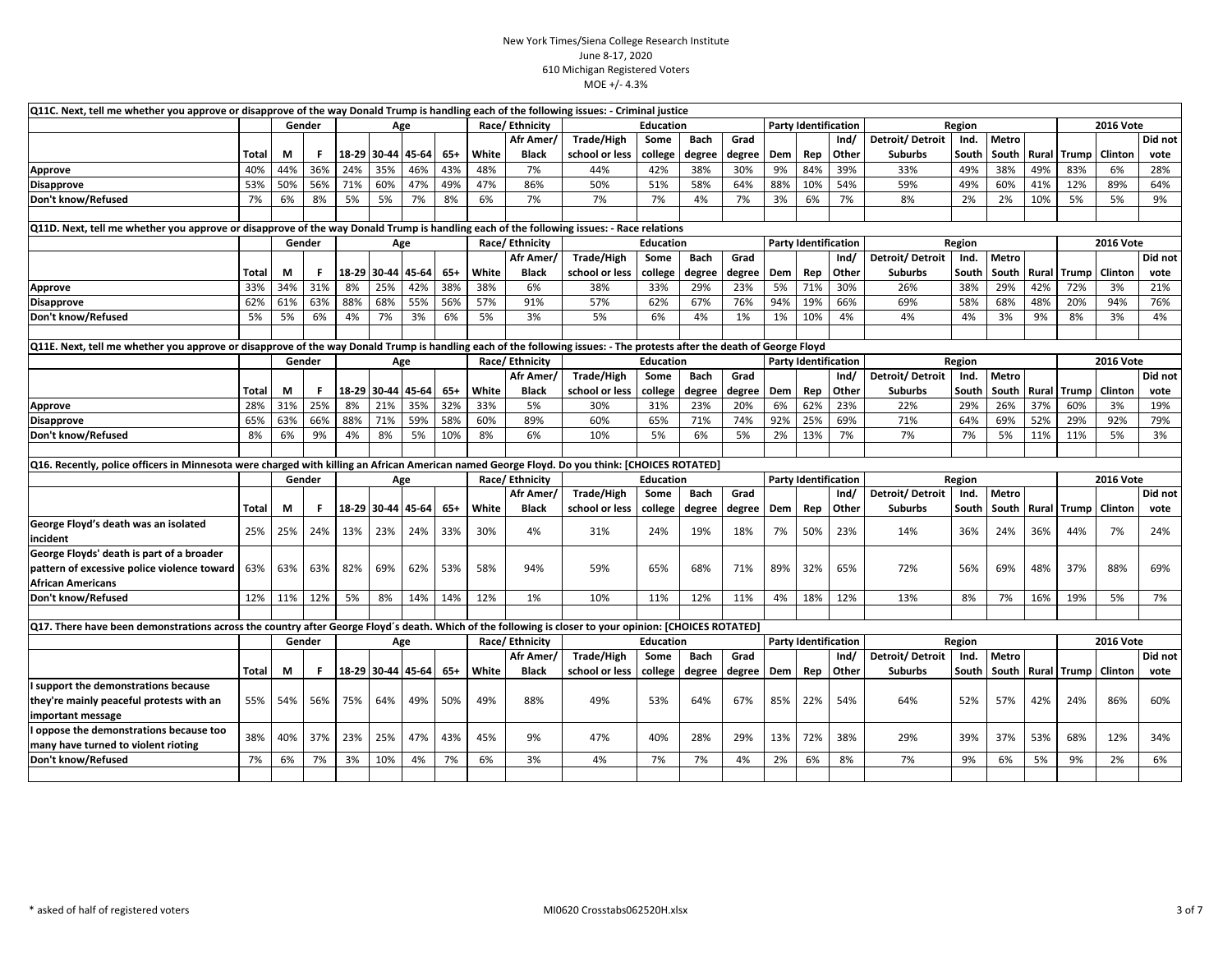| Q11C. Next, tell me whether you approve or disapprove of the way Donald Trump is handling each of the following issues: - Criminal justice                             |              |     |        |     |             |                   |       |       |                |                |                  |             |        |            |                             |       |                 |        |              |       |                    |                  |         |
|------------------------------------------------------------------------------------------------------------------------------------------------------------------------|--------------|-----|--------|-----|-------------|-------------------|-------|-------|----------------|----------------|------------------|-------------|--------|------------|-----------------------------|-------|-----------------|--------|--------------|-------|--------------------|------------------|---------|
|                                                                                                                                                                        |              |     | Gender |     |             | Age               |       |       | Race/Ethnicity |                | <b>Education</b> |             |        |            | <b>Party Identification</b> |       |                 | Region |              |       |                    | <b>2016 Vote</b> |         |
|                                                                                                                                                                        |              |     |        |     |             |                   |       |       | Afr Amer       | Trade/High     | Some             | Bach        | Grad   |            |                             | Ind/  | Detroit/Detroit | Ind.   | Metro        |       |                    |                  | Did not |
|                                                                                                                                                                        | <b>Total</b> | М   | F      |     |             | 18-29 30-44 45-64 | $65+$ | White | <b>Black</b>   | school or less | college          | degree      | degree | Dem        | Rep                         | Other | <b>Suburbs</b>  | South  | South        | Rural | Trump              | Clinton          | vote    |
| Approve                                                                                                                                                                | 40%          | 44% | 36%    | 24% | 35%         | 46%               | 43%   | 48%   | 7%             | 44%            | 42%              | 38%         | 30%    | 9%         | 84%                         | 39%   | 33%             | 49%    | 38%          | 49%   | 83%                | 6%               | 28%     |
| <b>Disapprove</b>                                                                                                                                                      | 53%          | 50% | 56%    | 71% | 60%         | 47%               | 49%   | 47%   | 86%            | 50%            | 51%              | 58%         | 64%    | 88%        | 10%                         | 54%   | 59%             | 49%    | 60%          | 41%   | 12%                | 89%              | 64%     |
| Don't know/Refused                                                                                                                                                     | 7%           | 6%  | 8%     | 5%  | 5%          | 7%                | 8%    | 6%    | 7%             | 7%             | 7%               | 4%          | 7%     | 3%         | 6%                          | 7%    | 8%              | 2%     | 2%           | 10%   | 5%                 | 5%               | 9%      |
|                                                                                                                                                                        |              |     |        |     |             |                   |       |       |                |                |                  |             |        |            |                             |       |                 |        |              |       |                    |                  |         |
| Q11D. Next, tell me whether you approve or disapprove of the way Donald Trump is handling each of the following issues: - Race relations                               |              |     |        |     |             |                   |       |       |                |                |                  |             |        |            |                             |       |                 |        |              |       |                    |                  |         |
|                                                                                                                                                                        |              |     | Gender |     |             | Age               |       |       | Race/Ethnicity |                | <b>Education</b> |             |        |            | <b>Party Identification</b> |       |                 | Region |              |       |                    | <b>2016 Vote</b> |         |
|                                                                                                                                                                        |              |     |        |     |             |                   |       |       | Afr Amer/      | Trade/High     | Some             | <b>Bach</b> | Grad   |            |                             | Ind/  | Detroit/Detroit | Ind.   | Metro        |       |                    |                  | Did not |
|                                                                                                                                                                        | <b>Total</b> | М   | F      |     | 18-29 30-44 | 45-64             | $65+$ | White | <b>Black</b>   | school or less | college          | degree      | degree | Dem        | Rep                         | Other | <b>Suburbs</b>  | South  | South        | Rural | Trump              | Clintor          | vote    |
| Approve                                                                                                                                                                | 33%          | 34% | 31%    | 8%  | 25%         | 42%               | 38%   | 38%   | 6%             | 38%            | 33%              | 29%         | 23%    | 5%         | 71%                         | 30%   | 26%             | 38%    | 29%          | 42%   | 72%                | 3%               | 21%     |
| <b>Disapprove</b>                                                                                                                                                      | 62%          | 61% | 63%    | 88% | 68%         | 55%               | 56%   | 57%   | 91%            | 57%            | 62%              | 67%         | 76%    | 94%        | 19%                         | 66%   | 69%             | 58%    | 68%          | 48%   | 20%                | 94%              | 76%     |
| Don't know/Refused                                                                                                                                                     | 5%           | 5%  | 6%     | 4%  | 7%          | 3%                | 6%    | 5%    | 3%             | 5%             | 6%               | 4%          | 1%     | 1%         | 10%                         | 4%    | 4%              | 4%     | 3%           | 9%    | 8%                 | 3%               | 4%      |
|                                                                                                                                                                        |              |     |        |     |             |                   |       |       |                |                |                  |             |        |            |                             |       |                 |        |              |       |                    |                  |         |
| Q11E. Next, tell me whether you approve or disapprove of the way Donald Trump is handling each of the following issues: - The protests after the death of George Floyd |              |     |        |     |             |                   |       |       |                |                |                  |             |        |            |                             |       |                 |        |              |       |                    |                  |         |
|                                                                                                                                                                        |              |     | Gender |     |             | Age               |       |       | Race/Ethnicity |                | <b>Education</b> |             |        |            | <b>Party Identification</b> |       |                 | Region |              |       |                    | <b>2016 Vote</b> |         |
|                                                                                                                                                                        |              |     |        |     |             |                   |       |       | Afr Amer/      | Trade/High     | Some             | Bach        | Grad   |            |                             | Ind/  | Detroit/Detroit | Ind.   | Metro        |       |                    |                  | Did not |
|                                                                                                                                                                        | Total        | М   | F      |     | 18-29 30-44 | 45-64             | $65+$ | White | <b>Black</b>   | school or less | college          | degree      | degree | Dem        | Rep                         | Other | <b>Suburbs</b>  | South  | South        | Rural | Trump              | Clinton          | vote    |
| Approve                                                                                                                                                                | 28%          | 31% | 25%    | 8%  | 21%         | 35%               | 32%   | 33%   | 5%             | 30%            | 31%              | 23%         | 20%    | 6%         | 62%                         | 23%   | 22%             | 29%    | 26%          | 37%   | 60%                | 3%               | 19%     |
| <b>Disapprove</b>                                                                                                                                                      | 65%          | 63% | 66%    | 88% | 71%         | 59%               | 58%   | 60%   | 89%            | 60%            | 65%              | 71%         | 74%    | 92%        | 25%                         | 69%   | 71%             | 64%    | 69%          | 52%   | 29%                | 92%              | 79%     |
| Don't know/Refused                                                                                                                                                     | 8%           | 6%  | 9%     | 4%  | 8%          | 5%                | 10%   | 8%    | 6%             | 10%            | 5%               | 6%          | 5%     | 2%         | 13%                         | 7%    | 7%              | 7%     | 5%           | 11%   | 11%                | 5%               | 3%      |
|                                                                                                                                                                        |              |     |        |     |             |                   |       |       |                |                |                  |             |        |            |                             |       |                 |        |              |       |                    |                  |         |
| Q16. Recently, police officers in Minnesota were charged with killing an African American named George Floyd. Do you think: [CHOICES ROTATED]                          |              |     |        |     |             |                   |       |       |                |                |                  |             |        |            |                             |       |                 |        |              |       |                    |                  |         |
|                                                                                                                                                                        |              |     | Gender |     |             | Age               |       |       | Race/Ethnicity |                | <b>Education</b> |             |        |            | <b>Party Identification</b> |       |                 | Region |              |       |                    | <b>2016 Vote</b> |         |
|                                                                                                                                                                        |              |     |        |     |             |                   |       |       | Afr Amer/      | Trade/High     | Some             | Bach        | Grad   |            |                             | Ind/  | Detroit/Detroit | Ind.   | Metro        |       |                    |                  | Did not |
|                                                                                                                                                                        | <b>Total</b> | M   | F.     |     | 18-29 30-44 | 45-64             | $65+$ | White | <b>Black</b>   | school or less | college          | degree      | degree | Dem        | Rep                         | Other | <b>Suburbs</b>  | South  | South        | Rural | Trump              | Clinton          | vote    |
| George Floyd's death was an isolated                                                                                                                                   | 25%          | 25% | 24%    | 13% | 23%         | 24%               | 33%   | 30%   | 4%             | 31%            | 24%              | 19%         | 18%    | 7%         | 50%                         | 23%   | 14%             | 36%    | 24%          | 36%   | 44%                | 7%               | 24%     |
| incident                                                                                                                                                               |              |     |        |     |             |                   |       |       |                |                |                  |             |        |            |                             |       |                 |        |              |       |                    |                  |         |
| George Floyds' death is part of a broader                                                                                                                              |              |     |        |     |             |                   |       |       |                |                |                  |             |        |            |                             |       |                 |        |              |       |                    |                  |         |
| pattern of excessive police violence toward                                                                                                                            | 63%          | 63% | 63%    | 82% | 69%         | 62%               | 53%   | 58%   | 94%            | 59%            | 65%              | 68%         | 71%    | 89%        | 32%                         | 65%   | 72%             | 56%    | 69%          | 48%   | 37%                | 88%              | 69%     |
| <b>African Americans</b>                                                                                                                                               |              |     |        |     |             |                   |       |       |                |                |                  |             |        |            |                             |       |                 |        |              |       |                    |                  |         |
| Don't know/Refused                                                                                                                                                     | 12%          | 11% | 12%    | 5%  | 8%          | 14%               | 14%   | 12%   | 1%             | 10%            | 11%              | 12%         | 11%    | 4%         | 18%                         | 12%   | 13%             | 8%     | 7%           | 16%   | 19%                | 5%               | 7%      |
|                                                                                                                                                                        |              |     |        |     |             |                   |       |       |                |                |                  |             |        |            |                             |       |                 |        |              |       |                    |                  |         |
| Q17. There have been demonstrations across the country after George Floyd's death. Which of the following is closer to your opinion: [CHOICES ROTATED]                 |              |     |        |     |             |                   |       |       |                |                |                  |             |        |            |                             |       |                 |        |              |       |                    |                  |         |
|                                                                                                                                                                        |              |     | Gender |     |             | Age               |       |       | Race/Ethnicity |                | <b>Education</b> |             |        |            | <b>Party Identification</b> |       |                 | Region |              |       |                    | <b>2016 Vote</b> |         |
|                                                                                                                                                                        |              |     |        |     |             |                   |       |       | Afr Amer/      | Trade/High     | Some             | <b>Bach</b> | Grad   |            |                             | Ind/  | Detroit/Detroit | Ind.   | <b>Metro</b> |       |                    |                  | Did not |
|                                                                                                                                                                        | <b>Total</b> | М   | F      |     | 18-29 30-44 | 45-64             | $65+$ | White | <b>Black</b>   | school or less | college          | degree      | degree | <b>Dem</b> | Rep                         | Other | <b>Suburbs</b>  | South  | South        |       | <b>Rural</b> Trump | Clinton          | vote    |
| support the demonstrations because                                                                                                                                     |              |     |        |     |             |                   |       |       |                |                |                  |             |        |            |                             |       |                 |        |              |       |                    |                  |         |
| they're mainly peaceful protests with an                                                                                                                               | 55%          | 54% | 56%    | 75% | 64%         | 49%               | 50%   | 49%   | 88%            | 49%            | 53%              | 64%         | 67%    | 85%        | 22%                         | 54%   | 64%             | 52%    | 57%          | 42%   | 24%                | 86%              | 60%     |
| important message                                                                                                                                                      |              |     |        |     |             |                   |       |       |                |                |                  |             |        |            |                             |       |                 |        |              |       |                    |                  |         |
| oppose the demonstrations because too                                                                                                                                  | 38%          | 40% | 37%    | 23% | 25%         | 47%               | 43%   | 45%   | 9%             | 47%            | 40%              | 28%         | 29%    | 13%        | 72%                         | 38%   | 29%             | 39%    | 37%          | 53%   | 68%                | 12%              | 34%     |
| many have turned to violent rioting                                                                                                                                    |              |     |        |     |             |                   |       |       |                |                |                  |             |        |            |                             |       |                 |        |              |       |                    |                  |         |
| Don't know/Refused                                                                                                                                                     | 7%           | 6%  | 7%     | 3%  | 10%         | 4%                | 7%    | 6%    | 3%             | 4%             | 7%               | 7%          | 4%     | 2%         | 6%                          | 8%    | 7%              | 9%     | 6%           | 5%    | 9%                 | 2%               | 6%      |
|                                                                                                                                                                        |              |     |        |     |             |                   |       |       |                |                |                  |             |        |            |                             |       |                 |        |              |       |                    |                  |         |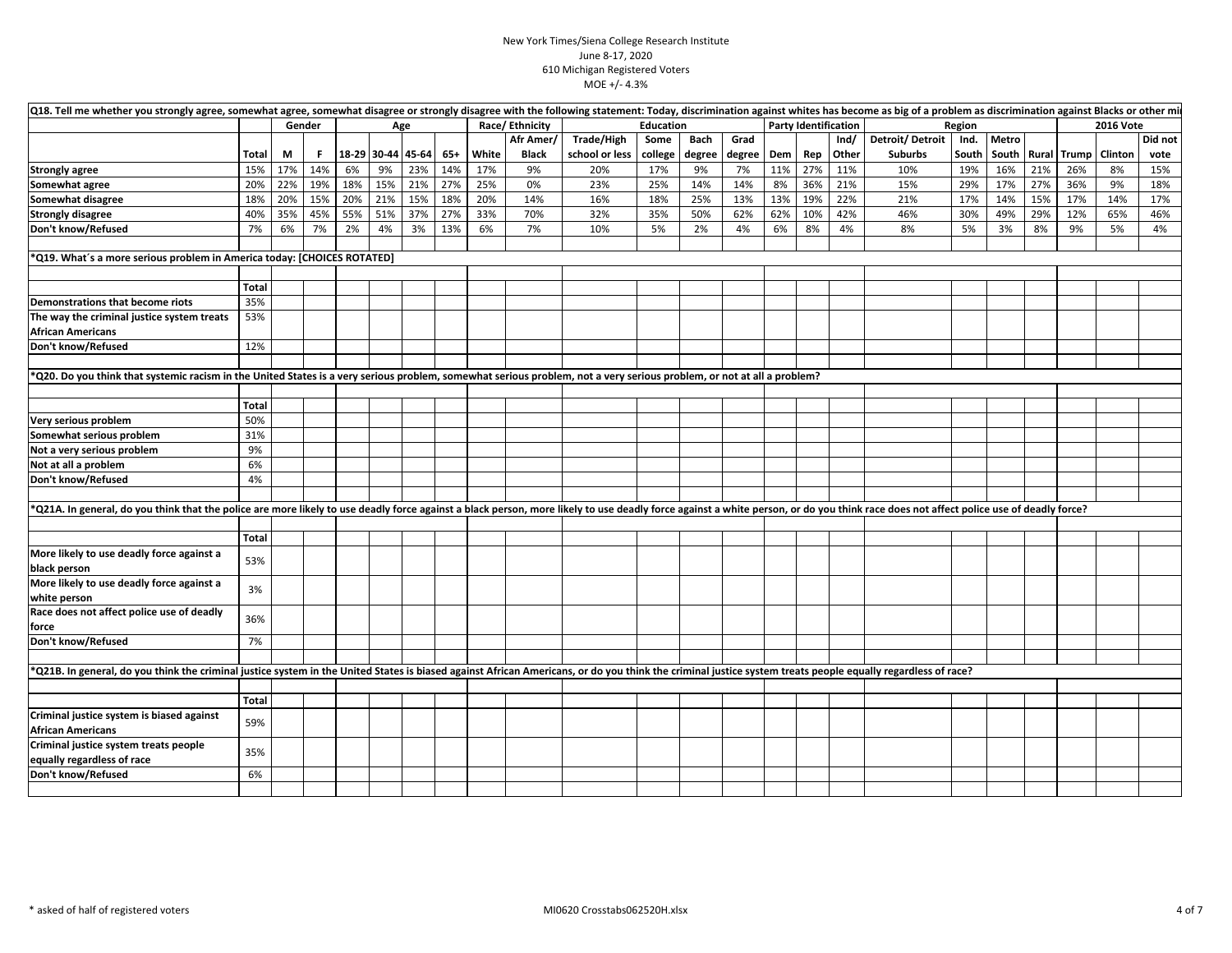| Q18. Tell me whether you strongly agree, somewhat agree, somewhat disagree or strongly disagree with the following statement: Today, discrimination against whites has become as big of a problem as discrimination against Bl |              |     |        |                         |     |     |     |       |                |                |           |        |        |     |                             |       |                 |        |       |     |                       |                  |         |
|--------------------------------------------------------------------------------------------------------------------------------------------------------------------------------------------------------------------------------|--------------|-----|--------|-------------------------|-----|-----|-----|-------|----------------|----------------|-----------|--------|--------|-----|-----------------------------|-------|-----------------|--------|-------|-----|-----------------------|------------------|---------|
|                                                                                                                                                                                                                                |              |     | Gender |                         | Age |     |     |       | Race/Ethnicity |                | Education |        |        |     | <b>Party Identification</b> |       |                 | Region |       |     |                       | <b>2016 Vote</b> |         |
|                                                                                                                                                                                                                                |              |     |        |                         |     |     |     |       | Afr Amer/      | Trade/High     | Some      | Bach   | Grad   |     |                             | Ind/  | Detroit/Detroit | Ind.   | Metro |     |                       |                  | Did not |
|                                                                                                                                                                                                                                | Total        | M   | Е.     | $18-29$ 30-44 45-64 65+ |     |     |     | White | <b>Black</b>   | school or less | college   | degree | degree |     | Dem Rep                     | Other | Suburbs         | South  |       |     | South   Rural   Trump | Clinton          | vote    |
| <b>Strongly agree</b>                                                                                                                                                                                                          | 15%          | 17% | 14%    | 6%                      | 9%  | 23% | 14% | 17%   | 9%             | 20%            | 17%       | 9%     | 7%     | 11% | 27%                         | 11%   | 10%             | 19%    | 16%   | 21% | 26%                   | 8%               | 15%     |
| Somewhat agree                                                                                                                                                                                                                 | 20%          | 22% | 19%    | 18%                     | 15% | 21% | 27% | 25%   | 0%             | 23%            | 25%       | 14%    | 14%    | 8%  | 36%                         | 21%   | 15%             | 29%    | 17%   | 27% | 36%                   | 9%               | 18%     |
| Somewhat disagree                                                                                                                                                                                                              | 18%          | 20% | 15%    | 20%                     | 21% | 15% | 18% | 20%   | 14%            | 16%            | 18%       | 25%    | 13%    | 13% | 19%                         | 22%   | 21%             | 17%    | 14%   | 15% | 17%                   | 14%              | 17%     |
| <b>Strongly disagree</b>                                                                                                                                                                                                       | 40%          | 35% | 45%    | 55%                     | 51% | 37% | 27% | 33%   | 70%            | 32%            | 35%       | 50%    | 62%    | 62% | 10%                         | 42%   | 46%             | 30%    | 49%   | 29% | 12%                   | 65%              | 46%     |
| Don't know/Refused                                                                                                                                                                                                             | 7%           | 6%  | 7%     | 2%                      | 4%  | 3%  | 13% | 6%    | 7%             | 10%            | 5%        | 2%     | 4%     | 6%  | 8%                          | 4%    | 8%              | 5%     | 3%    | 8%  | 9%                    | 5%               | 4%      |
|                                                                                                                                                                                                                                |              |     |        |                         |     |     |     |       |                |                |           |        |        |     |                             |       |                 |        |       |     |                       |                  |         |
| *Q19. What's a more serious problem in America today: [CHOICES ROTATED]                                                                                                                                                        |              |     |        |                         |     |     |     |       |                |                |           |        |        |     |                             |       |                 |        |       |     |                       |                  |         |
|                                                                                                                                                                                                                                |              |     |        |                         |     |     |     |       |                |                |           |        |        |     |                             |       |                 |        |       |     |                       |                  |         |
|                                                                                                                                                                                                                                | Total        |     |        |                         |     |     |     |       |                |                |           |        |        |     |                             |       |                 |        |       |     |                       |                  |         |
| Demonstrations that become riots                                                                                                                                                                                               | 35%          |     |        |                         |     |     |     |       |                |                |           |        |        |     |                             |       |                 |        |       |     |                       |                  |         |
| The way the criminal justice system treats                                                                                                                                                                                     | 53%          |     |        |                         |     |     |     |       |                |                |           |        |        |     |                             |       |                 |        |       |     |                       |                  |         |
| <b>African Americans</b>                                                                                                                                                                                                       |              |     |        |                         |     |     |     |       |                |                |           |        |        |     |                             |       |                 |        |       |     |                       |                  |         |
| Don't know/Refused                                                                                                                                                                                                             | 12%          |     |        |                         |     |     |     |       |                |                |           |        |        |     |                             |       |                 |        |       |     |                       |                  |         |
|                                                                                                                                                                                                                                |              |     |        |                         |     |     |     |       |                |                |           |        |        |     |                             |       |                 |        |       |     |                       |                  |         |
| *Q20. Do you think that systemic racism in the United States is a very serious problem, somewhat serious problem, not a very serious problem, or not at all a problem?                                                         |              |     |        |                         |     |     |     |       |                |                |           |        |        |     |                             |       |                 |        |       |     |                       |                  |         |
|                                                                                                                                                                                                                                |              |     |        |                         |     |     |     |       |                |                |           |        |        |     |                             |       |                 |        |       |     |                       |                  |         |
|                                                                                                                                                                                                                                | <b>Total</b> |     |        |                         |     |     |     |       |                |                |           |        |        |     |                             |       |                 |        |       |     |                       |                  |         |
| Very serious problem                                                                                                                                                                                                           | 50%          |     |        |                         |     |     |     |       |                |                |           |        |        |     |                             |       |                 |        |       |     |                       |                  |         |
| Somewhat serious problem                                                                                                                                                                                                       | 31%          |     |        |                         |     |     |     |       |                |                |           |        |        |     |                             |       |                 |        |       |     |                       |                  |         |
| Not a very serious problem                                                                                                                                                                                                     | 9%           |     |        |                         |     |     |     |       |                |                |           |        |        |     |                             |       |                 |        |       |     |                       |                  |         |
| Not at all a problem                                                                                                                                                                                                           | 6%           |     |        |                         |     |     |     |       |                |                |           |        |        |     |                             |       |                 |        |       |     |                       |                  |         |
| Don't know/Refused                                                                                                                                                                                                             | 4%           |     |        |                         |     |     |     |       |                |                |           |        |        |     |                             |       |                 |        |       |     |                       |                  |         |
|                                                                                                                                                                                                                                |              |     |        |                         |     |     |     |       |                |                |           |        |        |     |                             |       |                 |        |       |     |                       |                  |         |
| *Q21A. In general, do you think that the police are more likely to use deadly force against a black person, more likely to use deadly force against a white person, or do you think race does not affect police use of deadly  |              |     |        |                         |     |     |     |       |                |                |           |        |        |     |                             |       |                 |        |       |     |                       |                  |         |
|                                                                                                                                                                                                                                |              |     |        |                         |     |     |     |       |                |                |           |        |        |     |                             |       |                 |        |       |     |                       |                  |         |
|                                                                                                                                                                                                                                | Total        |     |        |                         |     |     |     |       |                |                |           |        |        |     |                             |       |                 |        |       |     |                       |                  |         |
| More likely to use deadly force against a                                                                                                                                                                                      |              |     |        |                         |     |     |     |       |                |                |           |        |        |     |                             |       |                 |        |       |     |                       |                  |         |
| black person                                                                                                                                                                                                                   | 53%          |     |        |                         |     |     |     |       |                |                |           |        |        |     |                             |       |                 |        |       |     |                       |                  |         |
| More likely to use deadly force against a                                                                                                                                                                                      |              |     |        |                         |     |     |     |       |                |                |           |        |        |     |                             |       |                 |        |       |     |                       |                  |         |
| white person                                                                                                                                                                                                                   | 3%           |     |        |                         |     |     |     |       |                |                |           |        |        |     |                             |       |                 |        |       |     |                       |                  |         |
| Race does not affect police use of deadly                                                                                                                                                                                      |              |     |        |                         |     |     |     |       |                |                |           |        |        |     |                             |       |                 |        |       |     |                       |                  |         |
| force                                                                                                                                                                                                                          | 36%          |     |        |                         |     |     |     |       |                |                |           |        |        |     |                             |       |                 |        |       |     |                       |                  |         |
| Don't know/Refused                                                                                                                                                                                                             | 7%           |     |        |                         |     |     |     |       |                |                |           |        |        |     |                             |       |                 |        |       |     |                       |                  |         |
|                                                                                                                                                                                                                                |              |     |        |                         |     |     |     |       |                |                |           |        |        |     |                             |       |                 |        |       |     |                       |                  |         |
| *Q21B. In general, do you think the criminal justice system in the United States is biased against African Americans, or do you think the criminal justice system treats people equally regardless of race?                    |              |     |        |                         |     |     |     |       |                |                |           |        |        |     |                             |       |                 |        |       |     |                       |                  |         |
|                                                                                                                                                                                                                                |              |     |        |                         |     |     |     |       |                |                |           |        |        |     |                             |       |                 |        |       |     |                       |                  |         |
|                                                                                                                                                                                                                                | <b>Total</b> |     |        |                         |     |     |     |       |                |                |           |        |        |     |                             |       |                 |        |       |     |                       |                  |         |
| Criminal justice system is biased against                                                                                                                                                                                      |              |     |        |                         |     |     |     |       |                |                |           |        |        |     |                             |       |                 |        |       |     |                       |                  |         |
| <b>African Americans</b>                                                                                                                                                                                                       | 59%          |     |        |                         |     |     |     |       |                |                |           |        |        |     |                             |       |                 |        |       |     |                       |                  |         |
| Criminal justice system treats people                                                                                                                                                                                          |              |     |        |                         |     |     |     |       |                |                |           |        |        |     |                             |       |                 |        |       |     |                       |                  |         |
| equally regardless of race                                                                                                                                                                                                     | 35%          |     |        |                         |     |     |     |       |                |                |           |        |        |     |                             |       |                 |        |       |     |                       |                  |         |
| Don't know/Refused                                                                                                                                                                                                             | 6%           |     |        |                         |     |     |     |       |                |                |           |        |        |     |                             |       |                 |        |       |     |                       |                  |         |
|                                                                                                                                                                                                                                |              |     |        |                         |     |     |     |       |                |                |           |        |        |     |                             |       |                 |        |       |     |                       |                  |         |
|                                                                                                                                                                                                                                |              |     |        |                         |     |     |     |       |                |                |           |        |        |     |                             |       |                 |        |       |     |                       |                  |         |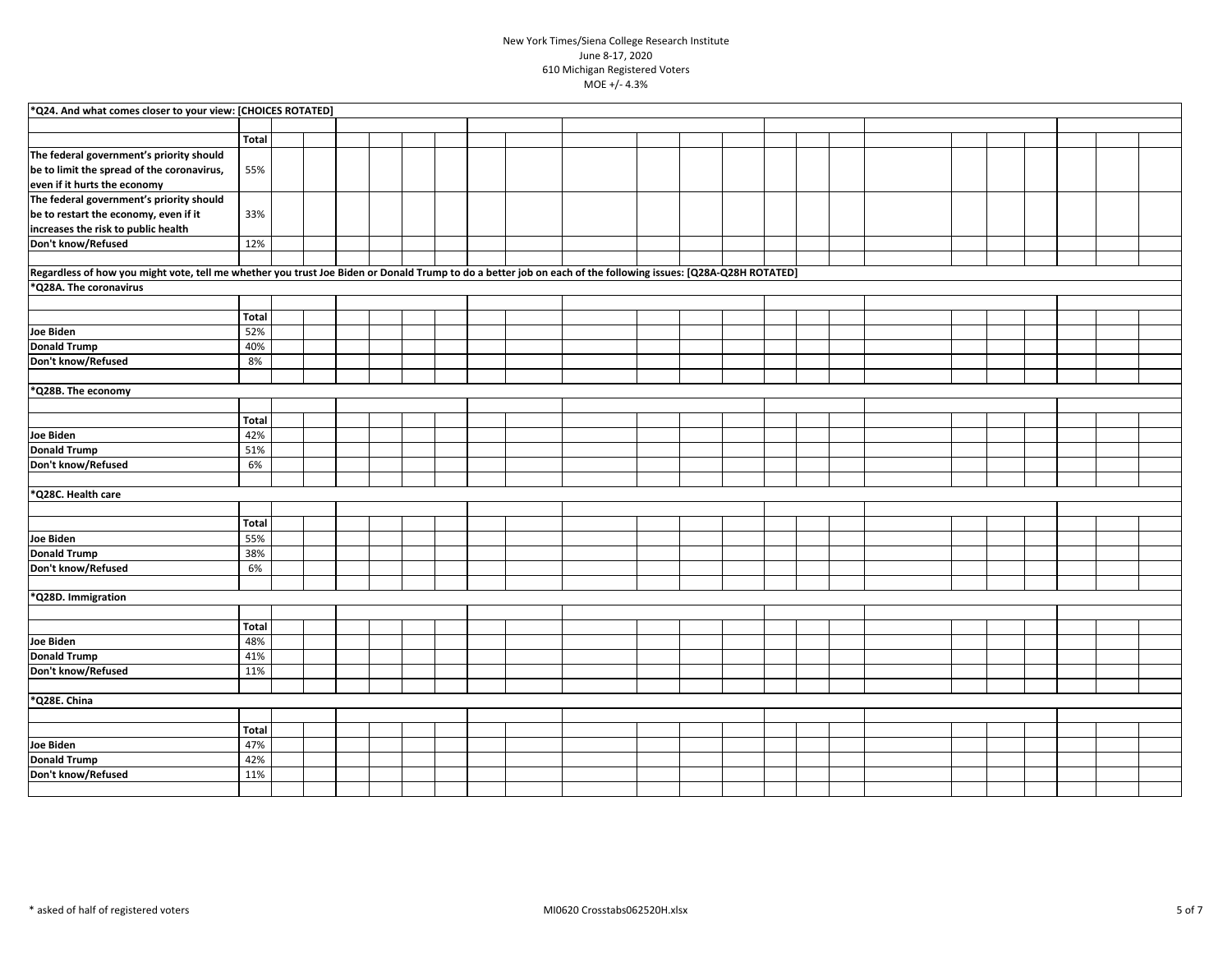| *Q24. And what comes closer to your view: [CHOICES ROTATED]                                                                                                   |       |  |  |  |  |  |  |  |  |  |  |  |
|---------------------------------------------------------------------------------------------------------------------------------------------------------------|-------|--|--|--|--|--|--|--|--|--|--|--|
|                                                                                                                                                               |       |  |  |  |  |  |  |  |  |  |  |  |
|                                                                                                                                                               |       |  |  |  |  |  |  |  |  |  |  |  |
|                                                                                                                                                               | Total |  |  |  |  |  |  |  |  |  |  |  |
| The federal government's priority should                                                                                                                      |       |  |  |  |  |  |  |  |  |  |  |  |
| be to limit the spread of the coronavirus,                                                                                                                    | 55%   |  |  |  |  |  |  |  |  |  |  |  |
| even if it hurts the economy                                                                                                                                  |       |  |  |  |  |  |  |  |  |  |  |  |
| The federal government's priority should                                                                                                                      |       |  |  |  |  |  |  |  |  |  |  |  |
| be to restart the economy, even if it                                                                                                                         | 33%   |  |  |  |  |  |  |  |  |  |  |  |
| increases the risk to public health                                                                                                                           |       |  |  |  |  |  |  |  |  |  |  |  |
| Don't know/Refused                                                                                                                                            | 12%   |  |  |  |  |  |  |  |  |  |  |  |
|                                                                                                                                                               |       |  |  |  |  |  |  |  |  |  |  |  |
| Regardless of how you might vote, tell me whether you trust Joe Biden or Donald Trump to do a better job on each of the following issues: [Q28A-Q28H ROTATED] |       |  |  |  |  |  |  |  |  |  |  |  |
| *Q28A. The coronavirus                                                                                                                                        |       |  |  |  |  |  |  |  |  |  |  |  |
|                                                                                                                                                               |       |  |  |  |  |  |  |  |  |  |  |  |
|                                                                                                                                                               | Total |  |  |  |  |  |  |  |  |  |  |  |
|                                                                                                                                                               |       |  |  |  |  |  |  |  |  |  |  |  |
| <b>Joe Biden</b>                                                                                                                                              | 52%   |  |  |  |  |  |  |  |  |  |  |  |
| <b>Donald Trump</b>                                                                                                                                           | 40%   |  |  |  |  |  |  |  |  |  |  |  |
| Don't know/Refused                                                                                                                                            | 8%    |  |  |  |  |  |  |  |  |  |  |  |
|                                                                                                                                                               |       |  |  |  |  |  |  |  |  |  |  |  |
| *Q28B. The economy                                                                                                                                            |       |  |  |  |  |  |  |  |  |  |  |  |
|                                                                                                                                                               |       |  |  |  |  |  |  |  |  |  |  |  |
|                                                                                                                                                               | Total |  |  |  |  |  |  |  |  |  |  |  |
| Joe Biden                                                                                                                                                     | 42%   |  |  |  |  |  |  |  |  |  |  |  |
| <b>Donald Trump</b>                                                                                                                                           | 51%   |  |  |  |  |  |  |  |  |  |  |  |
| Don't know/Refused                                                                                                                                            | 6%    |  |  |  |  |  |  |  |  |  |  |  |
|                                                                                                                                                               |       |  |  |  |  |  |  |  |  |  |  |  |
| *Q28C. Health care                                                                                                                                            |       |  |  |  |  |  |  |  |  |  |  |  |
|                                                                                                                                                               |       |  |  |  |  |  |  |  |  |  |  |  |
|                                                                                                                                                               | Total |  |  |  |  |  |  |  |  |  |  |  |
|                                                                                                                                                               | 55%   |  |  |  |  |  |  |  |  |  |  |  |
| Joe Biden                                                                                                                                                     |       |  |  |  |  |  |  |  |  |  |  |  |
| <b>Donald Trump</b>                                                                                                                                           | 38%   |  |  |  |  |  |  |  |  |  |  |  |
| Don't know/Refused                                                                                                                                            | 6%    |  |  |  |  |  |  |  |  |  |  |  |
|                                                                                                                                                               |       |  |  |  |  |  |  |  |  |  |  |  |
| *Q28D. Immigration                                                                                                                                            |       |  |  |  |  |  |  |  |  |  |  |  |
|                                                                                                                                                               |       |  |  |  |  |  |  |  |  |  |  |  |
|                                                                                                                                                               | Total |  |  |  |  |  |  |  |  |  |  |  |
| Joe Biden                                                                                                                                                     | 48%   |  |  |  |  |  |  |  |  |  |  |  |
| <b>Donald Trump</b>                                                                                                                                           | 41%   |  |  |  |  |  |  |  |  |  |  |  |
| Don't know/Refused                                                                                                                                            | 11%   |  |  |  |  |  |  |  |  |  |  |  |
|                                                                                                                                                               |       |  |  |  |  |  |  |  |  |  |  |  |
| *Q28E. China                                                                                                                                                  |       |  |  |  |  |  |  |  |  |  |  |  |
|                                                                                                                                                               |       |  |  |  |  |  |  |  |  |  |  |  |
|                                                                                                                                                               | Total |  |  |  |  |  |  |  |  |  |  |  |
| Joe Biden                                                                                                                                                     | 47%   |  |  |  |  |  |  |  |  |  |  |  |
|                                                                                                                                                               |       |  |  |  |  |  |  |  |  |  |  |  |
| <b>Donald Trump</b>                                                                                                                                           | 42%   |  |  |  |  |  |  |  |  |  |  |  |
| Don't know/Refused                                                                                                                                            | 11%   |  |  |  |  |  |  |  |  |  |  |  |
|                                                                                                                                                               |       |  |  |  |  |  |  |  |  |  |  |  |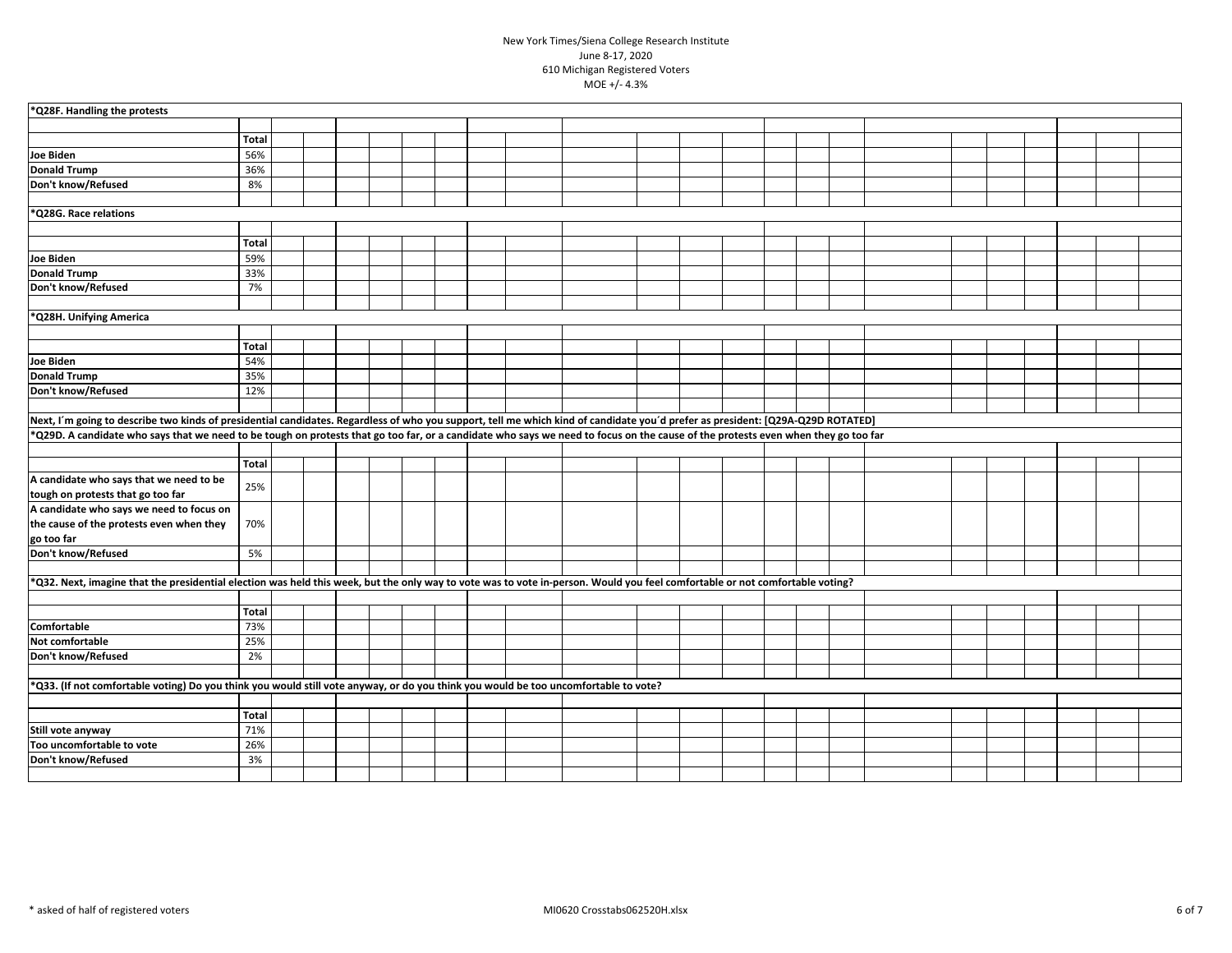| *Q28F. Handling the protests                                                                                                                                                      |              |  |  |  |  |  |  |  |  |  |  |  |
|-----------------------------------------------------------------------------------------------------------------------------------------------------------------------------------|--------------|--|--|--|--|--|--|--|--|--|--|--|
|                                                                                                                                                                                   |              |  |  |  |  |  |  |  |  |  |  |  |
|                                                                                                                                                                                   | <b>Total</b> |  |  |  |  |  |  |  |  |  |  |  |
| <b>Joe Biden</b>                                                                                                                                                                  | 56%          |  |  |  |  |  |  |  |  |  |  |  |
| <b>Donald Trump</b>                                                                                                                                                               | 36%          |  |  |  |  |  |  |  |  |  |  |  |
| Don't know/Refused                                                                                                                                                                | 8%           |  |  |  |  |  |  |  |  |  |  |  |
|                                                                                                                                                                                   |              |  |  |  |  |  |  |  |  |  |  |  |
| *Q28G. Race relations                                                                                                                                                             |              |  |  |  |  |  |  |  |  |  |  |  |
|                                                                                                                                                                                   |              |  |  |  |  |  |  |  |  |  |  |  |
|                                                                                                                                                                                   | <b>Total</b> |  |  |  |  |  |  |  |  |  |  |  |
| <b>Joe Biden</b>                                                                                                                                                                  | 59%          |  |  |  |  |  |  |  |  |  |  |  |
| <b>Donald Trump</b>                                                                                                                                                               | 33%          |  |  |  |  |  |  |  |  |  |  |  |
| Don't know/Refused                                                                                                                                                                | 7%           |  |  |  |  |  |  |  |  |  |  |  |
|                                                                                                                                                                                   |              |  |  |  |  |  |  |  |  |  |  |  |
| *Q28H. Unifying America                                                                                                                                                           |              |  |  |  |  |  |  |  |  |  |  |  |
|                                                                                                                                                                                   |              |  |  |  |  |  |  |  |  |  |  |  |
|                                                                                                                                                                                   | <b>Total</b> |  |  |  |  |  |  |  |  |  |  |  |
| <b>Joe Biden</b>                                                                                                                                                                  | 54%          |  |  |  |  |  |  |  |  |  |  |  |
| <b>Donald Trump</b>                                                                                                                                                               | 35%          |  |  |  |  |  |  |  |  |  |  |  |
| Don't know/Refused                                                                                                                                                                | 12%          |  |  |  |  |  |  |  |  |  |  |  |
|                                                                                                                                                                                   |              |  |  |  |  |  |  |  |  |  |  |  |
| Next, I'm going to describe two kinds of presidential candidates. Regardless of who you support, tell me which kind of candidate you'd prefer as president: [Q29A-Q29D ROTATED]   |              |  |  |  |  |  |  |  |  |  |  |  |
| *Q29D. A candidate who says that we need to be tough on protests that go too far, or a candidate who says we need to focus on the cause of the protests even when they go too far |              |  |  |  |  |  |  |  |  |  |  |  |
|                                                                                                                                                                                   |              |  |  |  |  |  |  |  |  |  |  |  |
|                                                                                                                                                                                   | <b>Total</b> |  |  |  |  |  |  |  |  |  |  |  |
| A candidate who says that we need to be                                                                                                                                           |              |  |  |  |  |  |  |  |  |  |  |  |
| tough on protests that go too far                                                                                                                                                 | 25%          |  |  |  |  |  |  |  |  |  |  |  |
| A candidate who says we need to focus on                                                                                                                                          |              |  |  |  |  |  |  |  |  |  |  |  |
| the cause of the protests even when they                                                                                                                                          | 70%          |  |  |  |  |  |  |  |  |  |  |  |
| go too far                                                                                                                                                                        |              |  |  |  |  |  |  |  |  |  |  |  |
| Don't know/Refused                                                                                                                                                                | 5%           |  |  |  |  |  |  |  |  |  |  |  |
|                                                                                                                                                                                   |              |  |  |  |  |  |  |  |  |  |  |  |
| *Q32. Next, imagine that the presidential election was held this week, but the only way to vote was to vote in-person. Would you feel comfortable or not comfortable voting?      |              |  |  |  |  |  |  |  |  |  |  |  |
|                                                                                                                                                                                   |              |  |  |  |  |  |  |  |  |  |  |  |
|                                                                                                                                                                                   | <b>Total</b> |  |  |  |  |  |  |  |  |  |  |  |
| Comfortable                                                                                                                                                                       | 73%          |  |  |  |  |  |  |  |  |  |  |  |
| Not comfortable                                                                                                                                                                   | 25%          |  |  |  |  |  |  |  |  |  |  |  |
| Don't know/Refused                                                                                                                                                                | 2%           |  |  |  |  |  |  |  |  |  |  |  |
|                                                                                                                                                                                   |              |  |  |  |  |  |  |  |  |  |  |  |
| *Q33. (If not comfortable voting) Do you think you would still vote anyway, or do you think you would be too uncomfortable to vote?                                               |              |  |  |  |  |  |  |  |  |  |  |  |
|                                                                                                                                                                                   |              |  |  |  |  |  |  |  |  |  |  |  |
|                                                                                                                                                                                   | <b>Total</b> |  |  |  |  |  |  |  |  |  |  |  |
| Still vote anyway                                                                                                                                                                 | 71%          |  |  |  |  |  |  |  |  |  |  |  |
| Too uncomfortable to vote                                                                                                                                                         | 26%          |  |  |  |  |  |  |  |  |  |  |  |
| Don't know/Refused                                                                                                                                                                | 3%           |  |  |  |  |  |  |  |  |  |  |  |
|                                                                                                                                                                                   |              |  |  |  |  |  |  |  |  |  |  |  |
|                                                                                                                                                                                   |              |  |  |  |  |  |  |  |  |  |  |  |